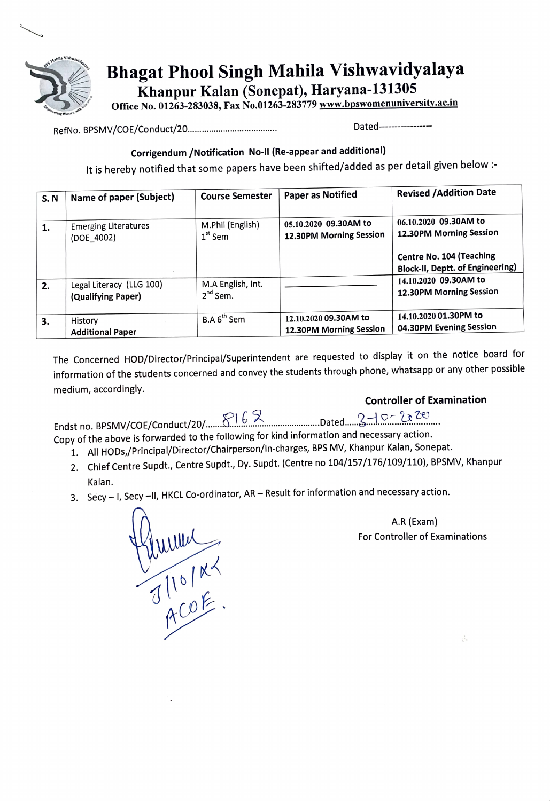

Bhagat Phool Singh Mahila Vishwavidyalaya Khanpur Kalan (Sonepat), Haryana-131305

Office No. 01263-283038, Fax No.01263-283779 www.bpswomenuniversity.ac.in

RefNo. BPSMV/COE/Conduct/20. e\*\*\*\*\*\*\* \*o\*\*\*\* \*\*\*\*\*\*\*\*\*\*\*\*\*\*\* Dated-

## Corrigendum /Notification No-ll (Re-appear and additional)

It is hereby notified that some papers have been shifted/added as per detail given below:

| <b>S.N</b> | Name of paper (Subject)                        | <b>Course Semester</b>             | <b>Paper as Notified</b>                         | <b>Revised / Addition Date</b>                                             |
|------------|------------------------------------------------|------------------------------------|--------------------------------------------------|----------------------------------------------------------------------------|
| 1.         | <b>Emerging Literatures</b><br>(DOE 4002)      | M.Phil (English)<br>$1st$ Sem      | 05.10.2020 09.30AM to<br>12.30PM Morning Session | 06.10.2020 09.30AM to<br>12.30PM Morning Session                           |
|            |                                                |                                    |                                                  | <b>Centre No. 104 (Teaching</b><br><b>Block-II, Deptt. of Engineering)</b> |
| 2.         | Legal Literacy (LLG 100)<br>(Qualifying Paper) | M.A English, Int.<br>$2^{nd}$ Sem. |                                                  | 14.10.2020 09.30AM to<br>12.30PM Morning Session                           |
| 3.         | History<br><b>Additional Paper</b>             | B.A 6 <sup>th</sup> Sem            | 12.10.2020 09.30AM to<br>12.30PM Morning Session | 14.10.2020 01.30PM to<br>04.30PM Evening Session                           |

The Concerned HOD/Director/Principal/Superintendent are requested to display it on the notice board for information of the students concerned and convey the students through phone, whatsapp or any other possible medium, accordingly.

Controller of Examination

Endst no. BPSMV/COE/Conduct/20/. \*soesnssnn s\*\*\*\*\*\*\*\*\*\*\*\*\* ...Dated.. ..

Copy of the above is forwarded to the following for kind information and necessary action.

- 1. All HODs,/Principal/Director/Chairperson/ln-charges, BPS MV, Khanpur Kalan, Sonepat.
- 2. Chief Centre Supdt., Centre Supdt., Dy. Supdt. (Centre no 104/157/176/109/110), BPSMV, Khanpu Kalan.
- 3. Secy I, Secy -II, HKCL Co-ordinator, AR Result for information and necessary action.



A.R (Exam) For Controller of Examinations

A